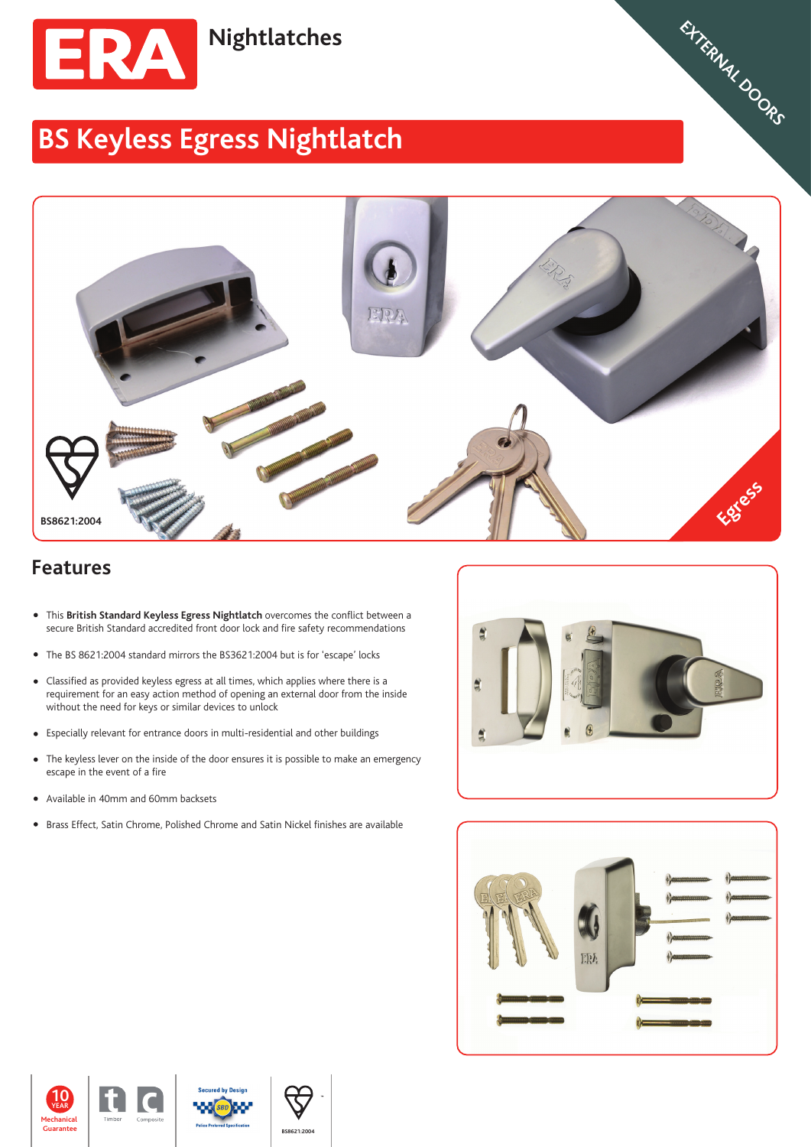

## **BS Keyless Egress Nightlatch**



## **Features**

- This **British Standard Keyless Egress Nightlatch** overcomes the conflict between a secure British Standard accredited front door lock and fire safety recommendations
- The BS 8621:2004 standard mirrors the BS3621:2004 but is for 'escape' locks
- Classified as provided keyless egress at all times, which applies where there is a requirement for an easy action method of opening an external door from the inside without the need for keys or similar devices to unlock
- Especially relevant for entrance doors in multi-residential and other buildings
- The keyless lever on the inside of the door ensures it is possible to make an emergency escape in the event of a fire
- Available in 40mm and 60mm backsets
- Brass Effect, Satin Chrome, Polished Chrome and Satin Nickel finishes are available



**WEATHERSEALS STEEL SLIDING DOORS CROMPTON VIRTICAL TILT & TURN WINDOWS CASEMENT WINDOWS SHED,GARAGES,** EXTERNAL DOORS